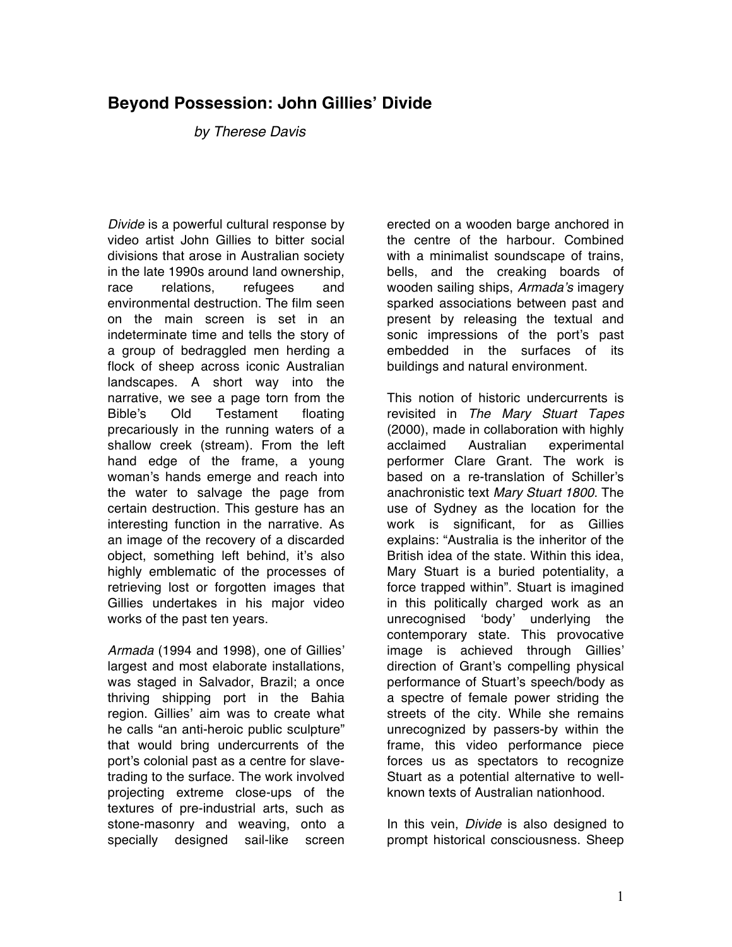## **Beyond Possession: John Gillies' Divide**

*by Therese Davis*

*Divide* is a powerful cultural response by video artist John Gillies to bitter social divisions that arose in Australian society in the late 1990s around land ownership, race relations, refugees and environmental destruction. The film seen on the main screen is set in an indeterminate time and tells the story of a group of bedraggled men herding a flock of sheep across iconic Australian landscapes. A short way into the narrative, we see a page torn from the Bible's Old Testament floating precariously in the running waters of a shallow creek (stream). From the left hand edge of the frame, a young woman's hands emerge and reach into the water to salvage the page from certain destruction. This gesture has an interesting function in the narrative. As an image of the recovery of a discarded object, something left behind, it's also highly emblematic of the processes of retrieving lost or forgotten images that Gillies undertakes in his major video works of the past ten years.

*Armada* (1994 and 1998), one of Gillies' largest and most elaborate installations, was staged in Salvador, Brazil; a once thriving shipping port in the Bahia region. Gillies' aim was to create what he calls "an anti-heroic public sculpture" that would bring undercurrents of the port's colonial past as a centre for slavetrading to the surface. The work involved projecting extreme close-ups of the textures of pre-industrial arts, such as stone-masonry and weaving, onto a specially designed sail-like screen

erected on a wooden barge anchored in the centre of the harbour. Combined with a minimalist soundscape of trains, bells, and the creaking boards of wooden sailing ships, *Armada*'*s* imagery sparked associations between past and present by releasing the textual and sonic impressions of the port's past embedded in the surfaces of its buildings and natural environment.

This notion of historic undercurrents is revisited in *The Mary Stuart Tapes* (2000), made in collaboration with highly acclaimed Australian experimental performer Clare Grant. The work is based on a re-translation of Schiller's anachronistic text *Mary Stuart 1800*. The use of Sydney as the location for the work is significant, for as Gillies explains: "Australia is the inheritor of the British idea of the state. Within this idea, Mary Stuart is a buried potentiality, a force trapped within". Stuart is imagined in this politically charged work as an unrecognised ʻbody' underlying the contemporary state. This provocative image is achieved through Gillies' direction of Grant's compelling physical performance of Stuart's speech/body as a spectre of female power striding the streets of the city. While she remains unrecognized by passers-by within the frame, this video performance piece forces us as spectators to recognize Stuart as a potential alternative to wellknown texts of Australian nationhood.

In this vein, *Divide* is also designed to prompt historical consciousness. Sheep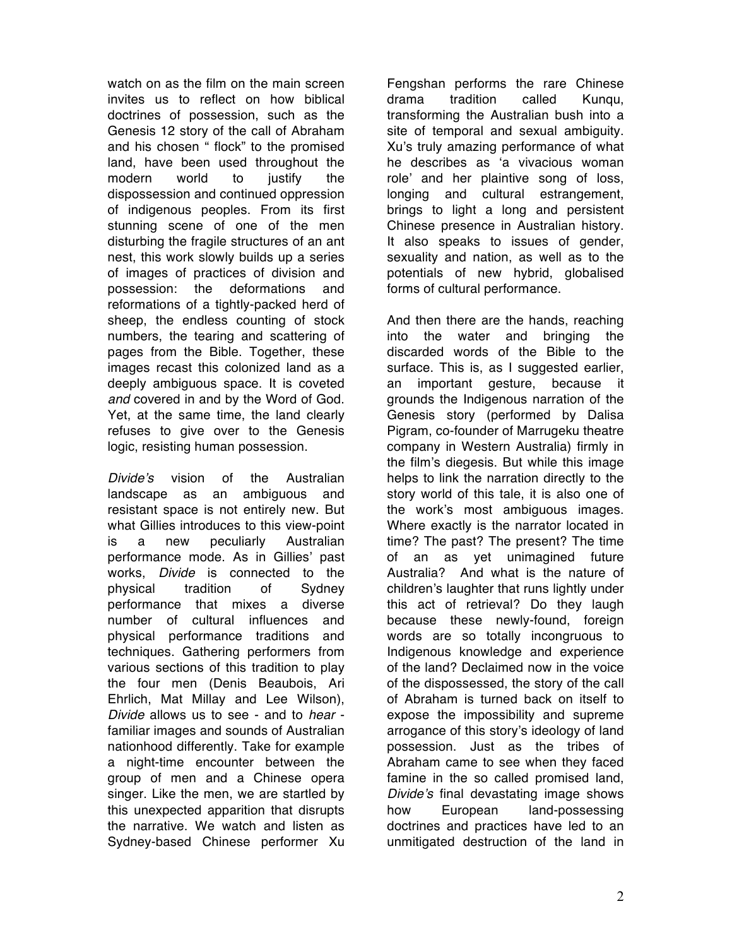watch on as the film on the main screen invites us to reflect on how biblical doctrines of possession, such as the Genesis 12 story of the call of Abraham and his chosen " flock" to the promised land, have been used throughout the modern world to justify the dispossession and continued oppression of indigenous peoples. From its first stunning scene of one of the men disturbing the fragile structures of an ant nest, this work slowly builds up a series of images of practices of division and possession: the deformations and reformations of a tightly-packed herd of sheep, the endless counting of stock numbers, the tearing and scattering of pages from the Bible. Together, these images recast this colonized land as a deeply ambiguous space. It is coveted *and* covered in and by the Word of God. Yet, at the same time, the land clearly refuses to give over to the Genesis logic, resisting human possession.

*Divide*'*s* vision of the Australian landscape as an ambiguous and resistant space is not entirely new. But what Gillies introduces to this view-point is a new peculiarly Australian performance mode. As in Gillies' past works, *Divide* is connected to the physical tradition of Sydney performance that mixes a diverse number of cultural influences and physical performance traditions and techniques. Gathering performers from various sections of this tradition to play the four men (Denis Beaubois, Ari Ehrlich, Mat Millay and Lee Wilson), *Divide* allows us to see - and to *hear* familiar images and sounds of Australian nationhood differently. Take for example a night-time encounter between the group of men and a Chinese opera singer. Like the men, we are startled by this unexpected apparition that disrupts the narrative. We watch and listen as Sydney-based Chinese performer Xu

Fengshan performs the rare Chinese drama tradition called Kunqu, transforming the Australian bush into a site of temporal and sexual ambiguity. Xu's truly amazing performance of what he describes as ʻa vivacious woman role' and her plaintive song of loss, longing and cultural estrangement, brings to light a long and persistent Chinese presence in Australian history. It also speaks to issues of gender, sexuality and nation, as well as to the potentials of new hybrid, globalised forms of cultural performance.

And then there are the hands, reaching into the water and bringing the discarded words of the Bible to the surface. This is, as I suggested earlier, an important gesture, because it grounds the Indigenous narration of the Genesis story (performed by Dalisa Pigram, co-founder of Marrugeku theatre company in Western Australia) firmly in the film's diegesis. But while this image helps to link the narration directly to the story world of this tale, it is also one of the work's most ambiguous images. Where exactly is the narrator located in time? The past? The present? The time of an as yet unimagined future Australia? And what is the nature of children's laughter that runs lightly under this act of retrieval? Do they laugh because these newly-found, foreign words are so totally incongruous to Indigenous knowledge and experience of the land? Declaimed now in the voice of the dispossessed, the story of the call of Abraham is turned back on itself to expose the impossibility and supreme arrogance of this story's ideology of land possession. Just as the tribes of Abraham came to see when they faced famine in the so called promised land, *Divide*'*s* final devastating image shows how European land-possessing doctrines and practices have led to an unmitigated destruction of the land in